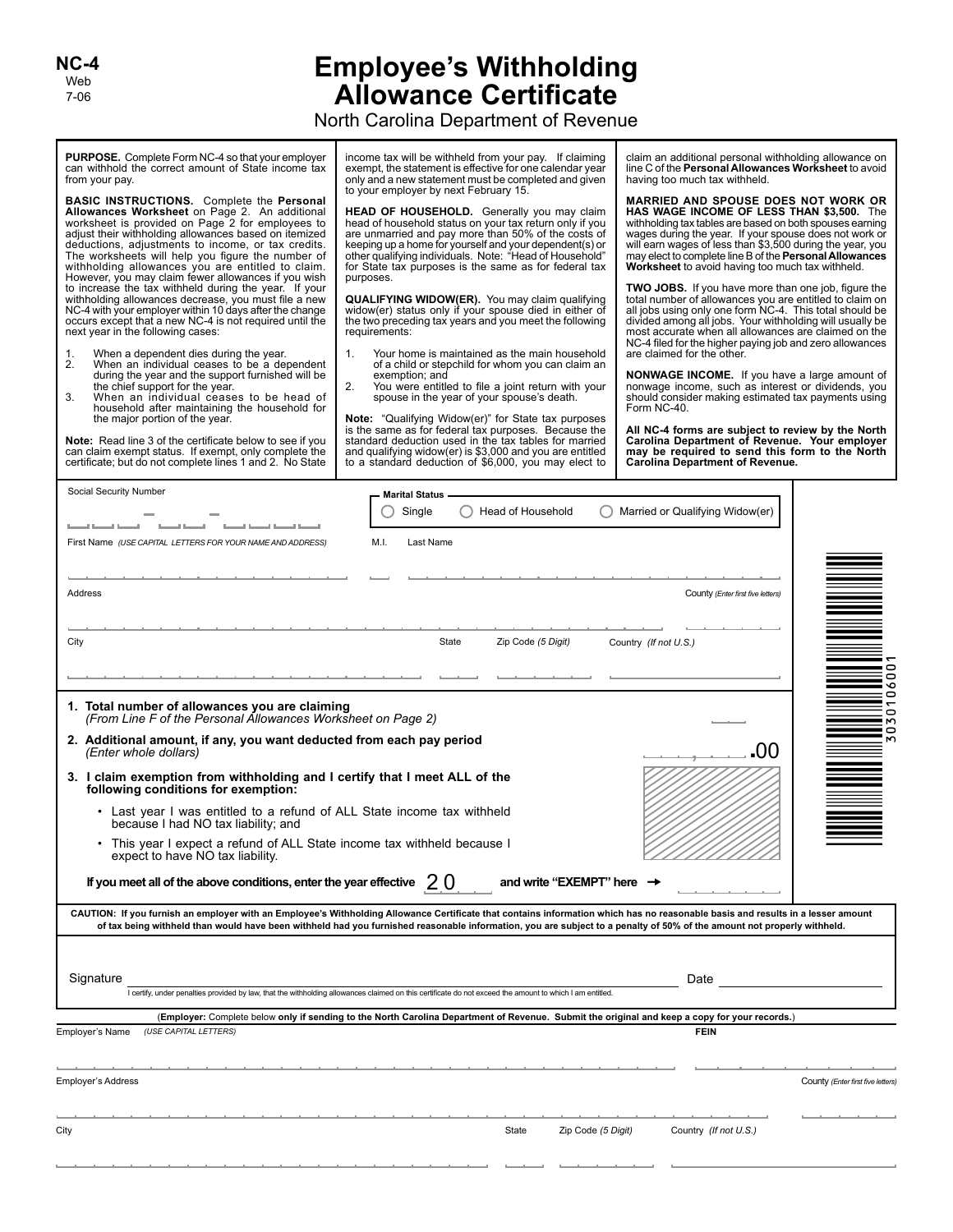Web 7-06 **NC-4**

## **Employee's Withholding Allowance Certificate**

North Carolina Department of Revenue

**PURPOSE.** Complete Form NC-4 so that your employer can withhold the correct amount of State income tax from your pay.

**BASIC INSTRUCTIONS.** Complete the **Personal Allowances Worksheet** on Page 2. An additional worksheet is provided on Page 2 for employees to adjust their withholding allowances based on itemized deductions, adjustments to income, or tax credits. The worksheets will help you figure the number of withholding allowances you are entitled to claim. However, you may claim fewer allowances if you wish to increase the tax withheld during the year. If your withholding allowances decrease, you must file a new NC-4 with your employer within 10 days after the change occurs except that a new NC-4 is not required until the next year in the following cases:

- 1. When a dependent dies during the year.<br>2. When an individual ceases to be a de
- 2. When an individual ceases to be a dependent during the year and the support furnished will be the chief support for the year.
- 3. When an individual ceases to be head of household after maintaining the household for the major portion of the year.

**Note:** Read line 3 of the certificate below to see if you can claim exempt status. If exempt, only complete the certificate; but do not complete lines 1 and 2. No State

income tax will be withheld from your pay. If claiming exempt, the statement is effective for one calendar year only and a new statement must be completed and given to your employer by next February 15.

**HEAD OF HOUSEHOLD.** Generally you may claim head of household status on your tax return only if you are unmarried and pay more than 50% of the costs of keeping up a home for yourself and your dependent(s) or other qualifying individuals. Note: "Head of Household" for State tax purposes is the same as for federal tax purposes.

**QUALIFYING WIDOW(ER).** You may claim qualifying widow(er) status only if your spouse died in either of the two preceding tax years and you meet the following requirements:

- 1. Your home is maintained as the main household of a child or stepchild for whom you can claim an exemption; and
- 2. You were entitled to file a joint return with your spouse in the year of your spouse's death.

**Note:** "Qualifying Widow(er)" for State tax purposes is the same as for federal tax purposes. Because the standard deduction used in the tax tables for married and qualifying widow(er) is \$3,000 and you are entitled to a standard deduction of \$6,000, you may elect to

claim an additional personal withholding allowance on line C of the **Personal Allowances Worksheet** to avoid having too much tax withheld.

**MARRIED AND SPOUSE DOES NOT WORK OR HAS WAGE INCOME OF LESS THAN \$3,500.** The withholding tax tables are based on both spouses earning wages during the year. If your spouse does not work or will earn wages of less than \$3,500 during the year, you may elect to complete line B of the **Personal Allowances Worksheet** to avoid having too much tax withheld.

**TWO JOBS.** If you have more than one job, figure the total number of allowances you are entitled to claim on all jobs using only one form NC-4. This total should be divided among all jobs. Your withholding will usually be most accurate when all allowances are claimed on the NC-4 filed for the higher paying job and zero allowances are claimed for the other.

**NONWAGE INCOME.** If you have a large amount of nonwage income, such as interest or dividends, you should consider making estimated tax payments using Form NC-40.

**All NC-4 forms are subject to review by the North Carolina Department of Revenue. Your employer may be required to send this form to the North Carolina Department of Revenue.**

| Social Security Number                                                                                            | <b>Marital Status</b><br>Head of Household<br>Single<br>Married or Qualifying Widow(er)                                                                                                                                                                                                                                                                   |                                   |
|-------------------------------------------------------------------------------------------------------------------|-----------------------------------------------------------------------------------------------------------------------------------------------------------------------------------------------------------------------------------------------------------------------------------------------------------------------------------------------------------|-----------------------------------|
| First Name (USE CAPITAL LETTERS FOR YOUR NAME AND ADDRESS)                                                        | M.I.<br>Last Name                                                                                                                                                                                                                                                                                                                                         |                                   |
| Address                                                                                                           | County (Enter first five letters)                                                                                                                                                                                                                                                                                                                         |                                   |
| City                                                                                                              | State<br>Zip Code (5 Digit)<br>Country (If not U.S.)                                                                                                                                                                                                                                                                                                      | 0                                 |
| 1. Total number of allowances you are claiming<br>(From Line F of the Personal Allowances Worksheet on Page 2)    |                                                                                                                                                                                                                                                                                                                                                           | 0<br>۰<br>0<br>Ō<br><sub>m</sub>  |
| 2. Additional amount, if any, you want deducted from each pay period<br>(Enter whole dollars)                     | 00                                                                                                                                                                                                                                                                                                                                                        | 0                                 |
| 3. I claim exemption from withholding and I certify that I meet ALL of the<br>following conditions for exemption: |                                                                                                                                                                                                                                                                                                                                                           |                                   |
| • Last year I was entitled to a refund of ALL State income tax withheld<br>because I had NO tax liability; and    |                                                                                                                                                                                                                                                                                                                                                           |                                   |
| • This year I expect a refund of ALL State income tax withheld because I<br>expect to have NO tax liability.      |                                                                                                                                                                                                                                                                                                                                                           |                                   |
| If you meet all of the above conditions, enter the year effective                                                 | 20<br>and write "EXEMPT" here                                                                                                                                                                                                                                                                                                                             |                                   |
|                                                                                                                   | CAUTION: If you furnish an employer with an Employee's Withholding Allowance Certificate that contains information which has no reasonable basis and results in a lesser amount<br>of tax being withheld than would have been withheld had you furnished reasonable information, you are subject to a penalty of 50% of the amount not properly withheld. |                                   |
| Signature                                                                                                         | Date                                                                                                                                                                                                                                                                                                                                                      |                                   |
|                                                                                                                   | I certify, under penalties provided by law, that the withholding allowances claimed on this certificate do not exceed the amount to which I am entitled.                                                                                                                                                                                                  |                                   |
| (USE CAPITAL LETTERS)                                                                                             | (Employer: Complete below only if sending to the North Carolina Department of Revenue. Submit the original and keep a copy for your records.)<br><b>FEIN</b>                                                                                                                                                                                              |                                   |
| Employer's Name                                                                                                   |                                                                                                                                                                                                                                                                                                                                                           |                                   |
| <b>Employer's Address</b>                                                                                         |                                                                                                                                                                                                                                                                                                                                                           | County (Enter first five letters) |
| City                                                                                                              | State<br>Zip Code (5 Digit)<br>Country (If not U.S.)                                                                                                                                                                                                                                                                                                      |                                   |
|                                                                                                                   |                                                                                                                                                                                                                                                                                                                                                           |                                   |